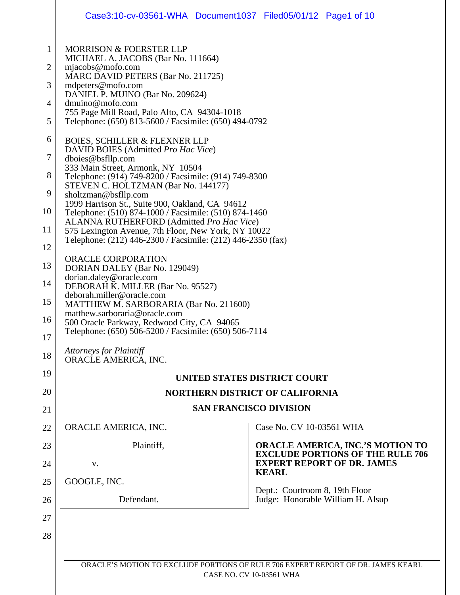|                                                                                                | Case3:10-cv-03561-WHA Document1037 Filed05/01/12 Page1 of 10                                                                                                                                                                                                                                                                                                                                                                                                                                                                                                                                                                                                                                                                                                                                                                                                                                                                                                                                                                                                                                                                                  |                                                                                    |
|------------------------------------------------------------------------------------------------|-----------------------------------------------------------------------------------------------------------------------------------------------------------------------------------------------------------------------------------------------------------------------------------------------------------------------------------------------------------------------------------------------------------------------------------------------------------------------------------------------------------------------------------------------------------------------------------------------------------------------------------------------------------------------------------------------------------------------------------------------------------------------------------------------------------------------------------------------------------------------------------------------------------------------------------------------------------------------------------------------------------------------------------------------------------------------------------------------------------------------------------------------|------------------------------------------------------------------------------------|
| $\mathbf{1}$<br>2<br>3<br>4<br>5<br>6<br>7<br>8<br>9<br>10<br>11<br>12<br>13<br>14<br>15<br>16 | MORRISON & FOERSTER LLP<br>MICHAEL A. JACOBS (Bar No. 111664)<br>mjacobs@mofo.com<br>MARC DAVID PETERS (Bar No. 211725)<br>mdpeters@mofo.com<br>DANIEL P. MUINO (Bar No. 209624)<br>dmuino@mofo.com<br>755 Page Mill Road, Palo Alto, CA 94304-1018<br>Telephone: (650) 813-5600 / Facsimile: (650) 494-0792<br><b>BOIES, SCHILLER &amp; FLEXNER LLP</b><br>DAVID BOIES (Admitted Pro Hac Vice)<br>dboies@bsfllp.com<br>333 Main Street, Armonk, NY 10504<br>Telephone: (914) 749-8200 / Facsimile: (914) 749-8300<br>STEVEN C. HOLTZMAN (Bar No. 144177)<br>sholtzman@bsfllp.com<br>1999 Harrison St., Suite 900, Oakland, CA 94612<br>Telephone: (510) 874-1000 / Facsimile: (510) 874-1460<br>ALANNA RUTHERFORD (Admitted Pro Hac Vice)<br>575 Lexington Avenue, 7th Floor, New York, NY 10022<br>Telephone: (212) 446-2300 / Facsimile: (212) 446-2350 (fax)<br>ORACLE CORPORATION<br>DORIAN DALEY (Bar No. 129049)<br>dorian.daley@oracle.com<br>DEBORAH K. MILLER (Bar No. 95527)<br>deborah.miller@oracle.com<br>MATTHEW M. SARBORARIA (Bar No. 211600)<br>matthew.sarboraria@oracle.com<br>500 Oracle Parkway, Redwood City, CA 94065 |                                                                                    |
| 17                                                                                             | Telephone: (650) 506-5200 / Facsimile: (650) 506-7114<br><b>Attorneys for Plaintiff</b>                                                                                                                                                                                                                                                                                                                                                                                                                                                                                                                                                                                                                                                                                                                                                                                                                                                                                                                                                                                                                                                       |                                                                                    |
| 18                                                                                             | ORACLE AMERICA, INC.                                                                                                                                                                                                                                                                                                                                                                                                                                                                                                                                                                                                                                                                                                                                                                                                                                                                                                                                                                                                                                                                                                                          |                                                                                    |
| 19                                                                                             | <b>UNITED STATES DISTRICT COURT</b>                                                                                                                                                                                                                                                                                                                                                                                                                                                                                                                                                                                                                                                                                                                                                                                                                                                                                                                                                                                                                                                                                                           |                                                                                    |
| 20                                                                                             | <b>NORTHERN DISTRICT OF CALIFORNIA</b>                                                                                                                                                                                                                                                                                                                                                                                                                                                                                                                                                                                                                                                                                                                                                                                                                                                                                                                                                                                                                                                                                                        |                                                                                    |
| 21                                                                                             | <b>SAN FRANCISCO DIVISION</b>                                                                                                                                                                                                                                                                                                                                                                                                                                                                                                                                                                                                                                                                                                                                                                                                                                                                                                                                                                                                                                                                                                                 |                                                                                    |
| 22                                                                                             | ORACLE AMERICA, INC.                                                                                                                                                                                                                                                                                                                                                                                                                                                                                                                                                                                                                                                                                                                                                                                                                                                                                                                                                                                                                                                                                                                          | Case No. CV 10-03561 WHA                                                           |
| 23                                                                                             | Plaintiff,                                                                                                                                                                                                                                                                                                                                                                                                                                                                                                                                                                                                                                                                                                                                                                                                                                                                                                                                                                                                                                                                                                                                    | <b>ORACLE AMERICA, INC.'S MOTION TO</b><br><b>EXCLUDE PORTIONS OF THE RULE 706</b> |
| 24                                                                                             | V.                                                                                                                                                                                                                                                                                                                                                                                                                                                                                                                                                                                                                                                                                                                                                                                                                                                                                                                                                                                                                                                                                                                                            | <b>EXPERT REPORT OF DR. JAMES</b><br><b>KEARL</b>                                  |
| 25                                                                                             | GOOGLE, INC.                                                                                                                                                                                                                                                                                                                                                                                                                                                                                                                                                                                                                                                                                                                                                                                                                                                                                                                                                                                                                                                                                                                                  |                                                                                    |
| 26                                                                                             | Defendant.                                                                                                                                                                                                                                                                                                                                                                                                                                                                                                                                                                                                                                                                                                                                                                                                                                                                                                                                                                                                                                                                                                                                    | Dept.: Courtroom 8, 19th Floor<br>Judge: Honorable William H. Alsup                |
| 27                                                                                             |                                                                                                                                                                                                                                                                                                                                                                                                                                                                                                                                                                                                                                                                                                                                                                                                                                                                                                                                                                                                                                                                                                                                               |                                                                                    |
| 28                                                                                             |                                                                                                                                                                                                                                                                                                                                                                                                                                                                                                                                                                                                                                                                                                                                                                                                                                                                                                                                                                                                                                                                                                                                               |                                                                                    |
|                                                                                                |                                                                                                                                                                                                                                                                                                                                                                                                                                                                                                                                                                                                                                                                                                                                                                                                                                                                                                                                                                                                                                                                                                                                               |                                                                                    |
|                                                                                                | ORACLE'S MOTION TO EXCLUDE PORTIONS OF RULE 706 EXPERT REPORT OF DR. JAMES KEARL                                                                                                                                                                                                                                                                                                                                                                                                                                                                                                                                                                                                                                                                                                                                                                                                                                                                                                                                                                                                                                                              |                                                                                    |

CASE NO. CV 10-03561 WHA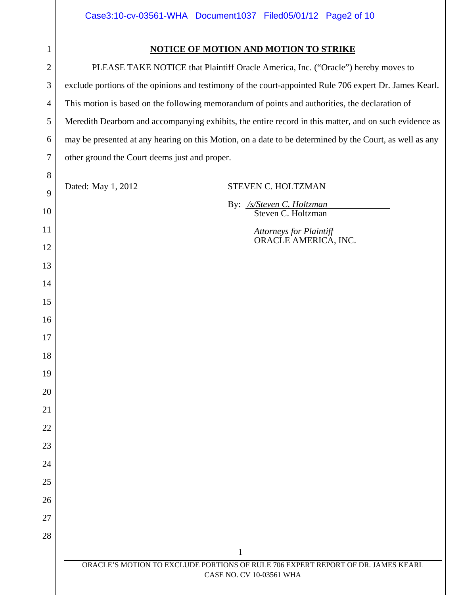| 1              | <b>NOTICE OF MOTION AND MOTION TO STRIKE</b>                                                            |  |
|----------------|---------------------------------------------------------------------------------------------------------|--|
| $\overline{2}$ | PLEASE TAKE NOTICE that Plaintiff Oracle America, Inc. ("Oracle") hereby moves to                       |  |
| 3              | exclude portions of the opinions and testimony of the court-appointed Rule 706 expert Dr. James Kearl.  |  |
| 4              | This motion is based on the following memorandum of points and authorities, the declaration of          |  |
| 5              | Meredith Dearborn and accompanying exhibits, the entire record in this matter, and on such evidence as  |  |
| 6              | may be presented at any hearing on this Motion, on a date to be determined by the Court, as well as any |  |
| 7              | other ground the Court deems just and proper.                                                           |  |
| 8              |                                                                                                         |  |
| 9              | Dated: May 1, 2012<br>STEVEN C. HOLTZMAN                                                                |  |
| 10             | By: /s/Steven C. Holtzman<br>Steven C. Holtzman                                                         |  |
| 11             | <b>Attorneys for Plaintiff</b>                                                                          |  |
| 12             | ORACLE AMERICA, INC.                                                                                    |  |
| 13             |                                                                                                         |  |
| 14             |                                                                                                         |  |
| 15             |                                                                                                         |  |
| 16             |                                                                                                         |  |
| 17             |                                                                                                         |  |
| 18             |                                                                                                         |  |
| 19             |                                                                                                         |  |
| 20             |                                                                                                         |  |
| 21             |                                                                                                         |  |
| 22             |                                                                                                         |  |

1

23

24

25

26

27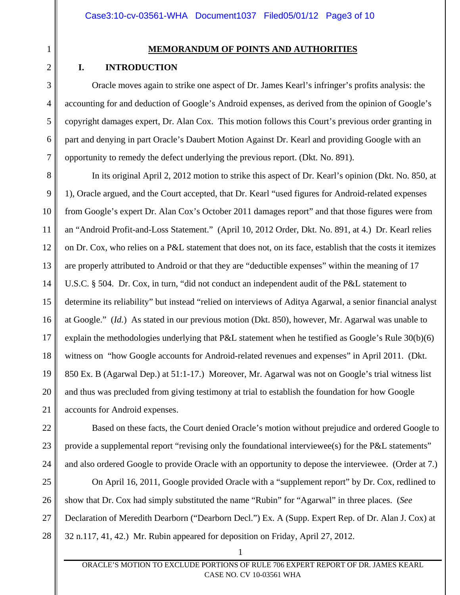1 2

3

4

5

6

7

22

23

24

## **MEMORANDUM OF POINTS AND AUTHORITIES**

## **I. INTRODUCTION**

Oracle moves again to strike one aspect of Dr. James Kearl's infringer's profits analysis: the accounting for and deduction of Google's Android expenses, as derived from the opinion of Google's copyright damages expert, Dr. Alan Cox. This motion follows this Court's previous order granting in part and denying in part Oracle's Daubert Motion Against Dr. Kearl and providing Google with an opportunity to remedy the defect underlying the previous report. (Dkt. No. 891).

8 9 10 11 12 13 14 15 16 17 18 19 20 21 In its original April 2, 2012 motion to strike this aspect of Dr. Kearl's opinion (Dkt. No. 850, at 1), Oracle argued, and the Court accepted, that Dr. Kearl "used figures for Android-related expenses from Google's expert Dr. Alan Cox's October 2011 damages report" and that those figures were from an "Android Profit-and-Loss Statement." (April 10, 2012 Order, Dkt. No. 891, at 4.) Dr. Kearl relies on Dr. Cox, who relies on a P&L statement that does not, on its face, establish that the costs it itemizes are properly attributed to Android or that they are "deductible expenses" within the meaning of 17 U.S.C. § 504. Dr. Cox, in turn, "did not conduct an independent audit of the P&L statement to determine its reliability" but instead "relied on interviews of Aditya Agarwal, a senior financial analyst at Google." (*Id.*) As stated in our previous motion (Dkt. 850), however, Mr. Agarwal was unable to explain the methodologies underlying that P&L statement when he testified as Google's Rule 30(b)(6) witness on "how Google accounts for Android-related revenues and expenses" in April 2011. (Dkt. 850 Ex. B (Agarwal Dep.) at 51:1-17.) Moreover, Mr. Agarwal was not on Google's trial witness list and thus was precluded from giving testimony at trial to establish the foundation for how Google accounts for Android expenses.

Based on these facts, the Court denied Oracle's motion without prejudice and ordered Google to provide a supplemental report "revising only the foundational interviewee(s) for the P&L statements" and also ordered Google to provide Oracle with an opportunity to depose the interviewee. (Order at 7.)

25 26 27 28 On April 16, 2011, Google provided Oracle with a "supplement report" by Dr. Cox, redlined to show that Dr. Cox had simply substituted the name "Rubin" for "Agarwal" in three places. (*See*  Declaration of Meredith Dearborn ("Dearborn Decl.") Ex. A (Supp. Expert Rep. of Dr. Alan J. Cox) at 32 n.117, 41, 42.) Mr. Rubin appeared for deposition on Friday, April 27, 2012.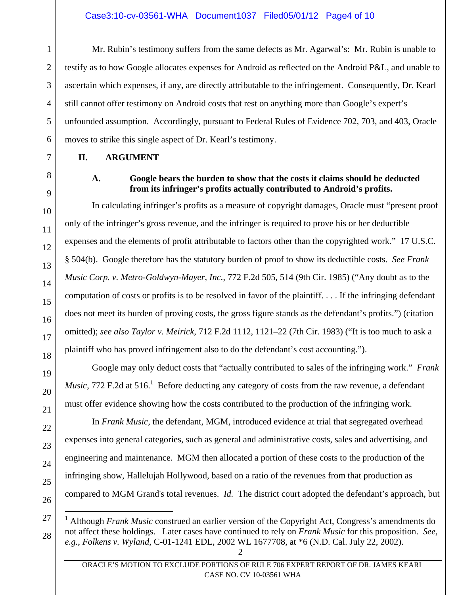Mr. Rubin's testimony suffers from the same defects as Mr. Agarwal's: Mr. Rubin is unable to testify as to how Google allocates expenses for Android as reflected on the Android P&L, and unable to ascertain which expenses, if any, are directly attributable to the infringement. Consequently, Dr. Kearl still cannot offer testimony on Android costs that rest on anything more than Google's expert's unfounded assumption. Accordingly, pursuant to Federal Rules of Evidence 702, 703, and 403, Oracle moves to strike this single aspect of Dr. Kearl's testimony.

#### **II. ARGUMENT**

### **A. Google bears the burden to show that the costs it claims should be deducted from its infringer's profits actually contributed to Android's profits.**

In calculating infringer's profits as a measure of copyright damages, Oracle must "present proof only of the infringer's gross revenue, and the infringer is required to prove his or her deductible expenses and the elements of profit attributable to factors other than the copyrighted work." 17 U.S.C. § 504(b). Google therefore has the statutory burden of proof to show its deductible costs. *See Frank Music Corp. v. Metro-Goldwyn-Mayer, Inc.*, 772 F.2d 505, 514 (9th Cir. 1985) ("Any doubt as to the computation of costs or profits is to be resolved in favor of the plaintiff. . . . If the infringing defendant does not meet its burden of proving costs, the gross figure stands as the defendant's profits.") (citation omitted); *see also Taylor v. Meirick*, 712 F.2d 1112, 1121–22 (7th Cir. 1983) ("It is too much to ask a plaintiff who has proved infringement also to do the defendant's cost accounting.").

Google may only deduct costs that "actually contributed to sales of the infringing work." *Frank Music*, 772 F.2d at 516.<sup>1</sup> Before deducting any category of costs from the raw revenue, a defendant must offer evidence showing how the costs contributed to the production of the infringing work.

In *Frank Music*, the defendant, MGM, introduced evidence at trial that segregated overhead expenses into general categories, such as general and administrative costs, sales and advertising, and engineering and maintenance. MGM then allocated a portion of these costs to the production of the infringing show, Hallelujah Hollywood, based on a ratio of the revenues from that production as compared to MGM Grand's total revenues. *Id.* The district court adopted the defendant's approach, but

1

2

3

 $\overline{a}$ <sup>1</sup> Although *Frank Music* construed an earlier version of the Copyright Act, Congress's amendments do not affect these holdings. Later cases have continued to rely on *Frank Music* for this proposition. *See, e.g.*, *Folkens v. Wyland*, C-01-1241 EDL, 2002 WL 1677708, at \*6 (N.D. Cal. July 22, 2002).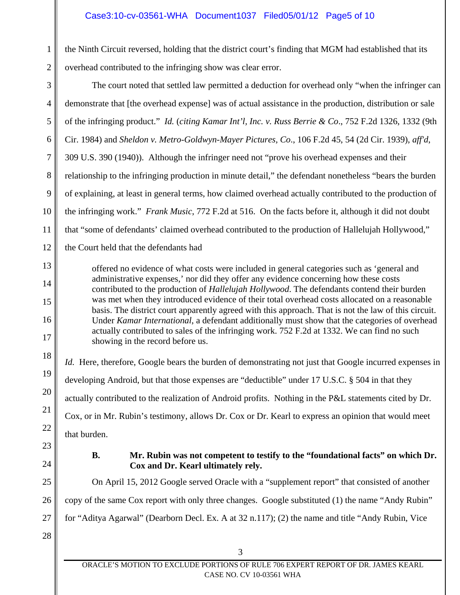### Case3:10-cv-03561-WHA Document1037 Filed05/01/12 Page5 of 10

2 the Ninth Circuit reversed, holding that the district court's finding that MGM had established that its overhead contributed to the infringing show was clear error.

3 4 5 6 7 8 9 10 11 12 13 14 15 16 17 18 19 20 21 The court noted that settled law permitted a deduction for overhead only "when the infringer can demonstrate that [the overhead expense] was of actual assistance in the production, distribution or sale of the infringing product." *Id.* (*citing Kamar Int'l, Inc. v. Russ Berrie & Co*., 752 F.2d 1326, 1332 (9th Cir. 1984) and *Sheldon v. Metro-Goldwyn-Mayer Pictures, Co*., 106 F.2d 45, 54 (2d Cir. 1939), *aff'd*, 309 U.S. 390 (1940)). Although the infringer need not "prove his overhead expenses and their relationship to the infringing production in minute detail," the defendant nonetheless "bears the burden of explaining, at least in general terms, how claimed overhead actually contributed to the production of the infringing work." *Frank Music*, 772 F.2d at 516. On the facts before it, although it did not doubt that "some of defendants' claimed overhead contributed to the production of Hallelujah Hollywood," the Court held that the defendants had offered no evidence of what costs were included in general categories such as 'general and administrative expenses,' nor did they offer any evidence concerning how these costs contributed to the production of *Hallelujah Hollywood*. The defendants contend their burden was met when they introduced evidence of their total overhead costs allocated on a reasonable basis. The district court apparently agreed with this approach. That is not the law of this circuit. Under *Kamar International*, a defendant additionally must show that the categories of overhead actually contributed to sales of the infringing work. 752 F.2d at 1332. We can find no such showing in the record before us. *Id.* Here, therefore, Google bears the burden of demonstrating not just that Google incurred expenses in developing Android, but that those expenses are "deductible" under 17 U.S.C. § 504 in that they actually contributed to the realization of Android profits. Nothing in the P&L statements cited by Dr.

Cox, or in Mr. Rubin's testimony, allows Dr. Cox or Dr. Kearl to express an opinion that would meet that burden.

- 
- 24

22

23

1

### **B. Mr. Rubin was not competent to testify to the "foundational facts" on which Dr. Cox and Dr. Kearl ultimately rely.**

25 26 27 On April 15, 2012 Google served Oracle with a "supplement report" that consisted of another copy of the same Cox report with only three changes. Google substituted (1) the name "Andy Rubin" for "Aditya Agarwal" (Dearborn Decl. Ex. A at 32 n.117); (2) the name and title "Andy Rubin, Vice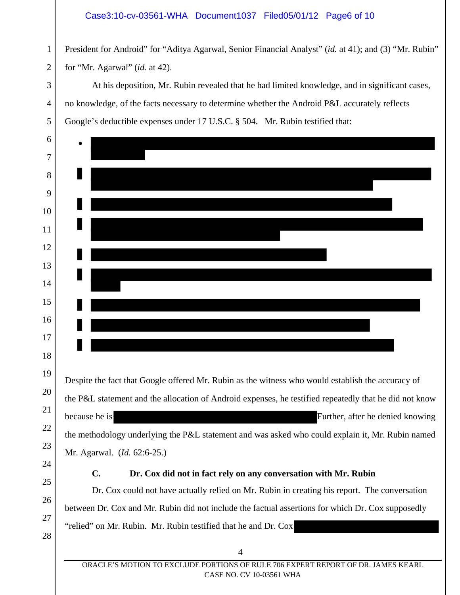#### Case3:10-cv-03561-WHA Document1037 Filed05/01/12 Page6 of 10

 President for Android" for "Aditya Agarwal, Senior Financial Analyst" (*id.* at 41); and (3) "Mr. Rubin" for "Mr. Agarwal" (*id.* at 42).

At his deposition, Mr. Rubin revealed that he had limited knowledge, and in significant cases, no knowledge, of the facts necessary to determine whether the Android P&L accurately reflects Google's deductible expenses under 17 U.S.C. § 504. Mr. Rubin testified that:

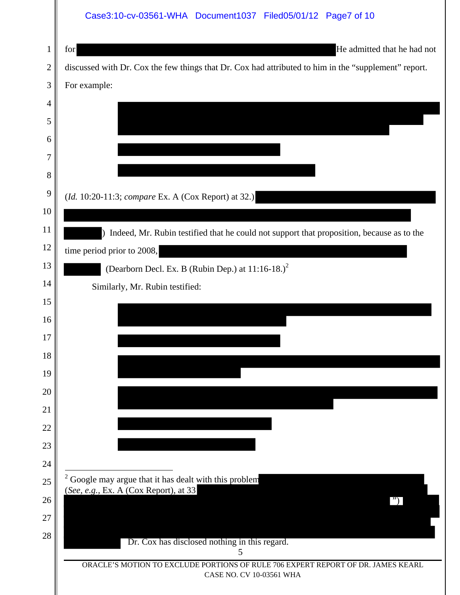|                | Case3:10-cv-03561-WHA Document1037 Filed05/01/12 Page7 of 10                                                 |
|----------------|--------------------------------------------------------------------------------------------------------------|
| $\mathbf{1}$   | He admitted that he had not<br>for                                                                           |
| $\overline{2}$ | discussed with Dr. Cox the few things that Dr. Cox had attributed to him in the "supplement" report.         |
| 3              | For example:                                                                                                 |
| 4              |                                                                                                              |
| 5              |                                                                                                              |
| 6              |                                                                                                              |
| 7              |                                                                                                              |
| 8              |                                                                                                              |
| 9              | (Id. 10:20-11:3; compare Ex. A (Cox Report) at 32.)                                                          |
| 10             |                                                                                                              |
| 11             | ) Indeed, Mr. Rubin testified that he could not support that proposition, because as to the                  |
| 12<br>13       | time period prior to 2008,                                                                                   |
| 14             | (Dearborn Decl. Ex. B (Rubin Dep.) at $11:16-18.$ ) <sup>2</sup>                                             |
| 15             | Similarly, Mr. Rubin testified:                                                                              |
| 16             |                                                                                                              |
| 17             |                                                                                                              |
| 18             |                                                                                                              |
| 19             |                                                                                                              |
| 20             |                                                                                                              |
| 21             |                                                                                                              |
| 22             |                                                                                                              |
| 23             |                                                                                                              |
| 24             | $2^2$ Google may argue that it has dealt with this problem                                                   |
| 25             | (See, e.g., Ex. A (Cox Report), at 33                                                                        |
| 26<br>27       |                                                                                                              |
| 28             |                                                                                                              |
|                | Dr. Cox has disclosed nothing in this regard.<br>5                                                           |
|                | ORACLE'S MOTION TO EXCLUDE PORTIONS OF RULE 706 EXPERT REPORT OF DR. JAMES KEARL<br>CASE NO. CV 10-03561 WHA |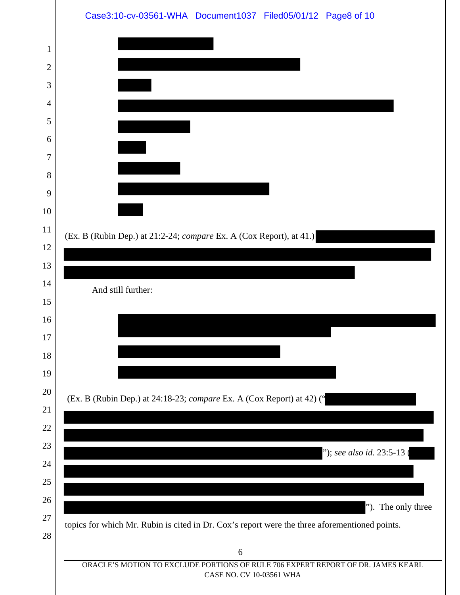|                | Case3:10-cv-03561-WHA Document1037 Filed05/01/12 Page8 of 10                                                 |
|----------------|--------------------------------------------------------------------------------------------------------------|
| 1              |                                                                                                              |
| $\overline{2}$ |                                                                                                              |
| 3              |                                                                                                              |
| 4              |                                                                                                              |
| 5              |                                                                                                              |
| 6              |                                                                                                              |
| $\overline{7}$ |                                                                                                              |
| 8              |                                                                                                              |
| 9              |                                                                                                              |
| 10             |                                                                                                              |
| 11             | (Ex. B (Rubin Dep.) at 21:2-24; compare Ex. A (Cox Report), at 41.)                                          |
| 12             |                                                                                                              |
| 13<br>14       |                                                                                                              |
| 15             | And still further:                                                                                           |
| 16             |                                                                                                              |
| $17\,$         |                                                                                                              |
| 18             |                                                                                                              |
| 19             |                                                                                                              |
| 20             | (Ex. B (Rubin Dep.) at 24:18-23; compare Ex. A (Cox Report) at 42) ('                                        |
| 21             |                                                                                                              |
| 22             |                                                                                                              |
| 23             | "); see also id. 23:5-13 (                                                                                   |
| 24             |                                                                                                              |
| 25<br>26       |                                                                                                              |
| 27             | "). The only three                                                                                           |
| 28             | topics for which Mr. Rubin is cited in Dr. Cox's report were the three aforementioned points.                |
|                | 6                                                                                                            |
|                | ORACLE'S MOTION TO EXCLUDE PORTIONS OF RULE 706 EXPERT REPORT OF DR. JAMES KEARL<br>CASE NO. CV 10-03561 WHA |
|                |                                                                                                              |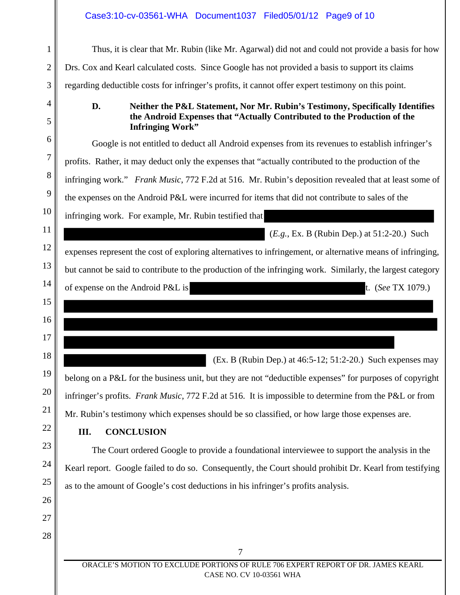# Case3:10-cv-03561-WHA Document1037 Filed05/01/12 Page9 of 10

 $\mathsf{l}\mathsf{l}$ 

| $\mathbf{1}$   | Thus, it is clear that Mr. Rubin (like Mr. Agarwal) did not and could not provide a basis for how                                                               |
|----------------|-----------------------------------------------------------------------------------------------------------------------------------------------------------------|
| $\overline{2}$ | Drs. Cox and Kearl calculated costs. Since Google has not provided a basis to support its claims                                                                |
| 3              | regarding deductible costs for infringer's profits, it cannot offer expert testimony on this point.                                                             |
| 4<br>5         | D.<br>Neither the P&L Statement, Nor Mr. Rubin's Testimony, Specifically Identifies<br>the Android Expenses that "Actually Contributed to the Production of the |
| 6              | <b>Infringing Work"</b>                                                                                                                                         |
| 7              | Google is not entitled to deduct all Android expenses from its revenues to establish infringer's                                                                |
|                | profits. Rather, it may deduct only the expenses that "actually contributed to the production of the                                                            |
| 8              | infringing work." Frank Music, 772 F.2d at 516. Mr. Rubin's deposition revealed that at least some of                                                           |
| 9              | the expenses on the Android P&L were incurred for items that did not contribute to sales of the                                                                 |
| 10             | infringing work. For example, Mr. Rubin testified that                                                                                                          |
| 11             | $(E.g., Ex. B (Rubin Dep.)$ at 51:2-20.) Such                                                                                                                   |
| 12             | expenses represent the cost of exploring alternatives to infringement, or alternative means of infringing,                                                      |
| 13             | but cannot be said to contribute to the production of the infringing work. Similarly, the largest category                                                      |
| 14             | of expense on the Android P&L is<br>t. (See TX 1079.)                                                                                                           |
| 15             |                                                                                                                                                                 |
| 16             |                                                                                                                                                                 |
| 17             |                                                                                                                                                                 |
| 18             | (Ex. B (Rubin Dep.) at $46:5-12$ ; $51:2-20$ .) Such expenses may                                                                                               |
| 19             | belong on a P&L for the business unit, but they are not "deductible expenses" for purposes of copyright                                                         |
| 20             | infringer's profits. Frank Music, 772 F.2d at 516. It is impossible to determine from the P&L or from                                                           |
| 21             |                                                                                                                                                                 |
| 22             | Mr. Rubin's testimony which expenses should be so classified, or how large those expenses are.                                                                  |
| 23             | <b>CONCLUSION</b><br>III.                                                                                                                                       |
| 24             | The Court ordered Google to provide a foundational interviewee to support the analysis in the                                                                   |
|                | Kearl report. Google failed to do so. Consequently, the Court should prohibit Dr. Kearl from testifying                                                         |
| 25             | as to the amount of Google's cost deductions in his infringer's profits analysis.                                                                               |
| 26             |                                                                                                                                                                 |
| 27             |                                                                                                                                                                 |
| 28             |                                                                                                                                                                 |
|                | $\overline{7}$                                                                                                                                                  |
|                | ORACLE'S MOTION TO EXCLUDE PORTIONS OF RULE 706 EXPERT REPORT OF DR. JAMES KEARL<br>CASE NO. CV 10-03561 WHA                                                    |